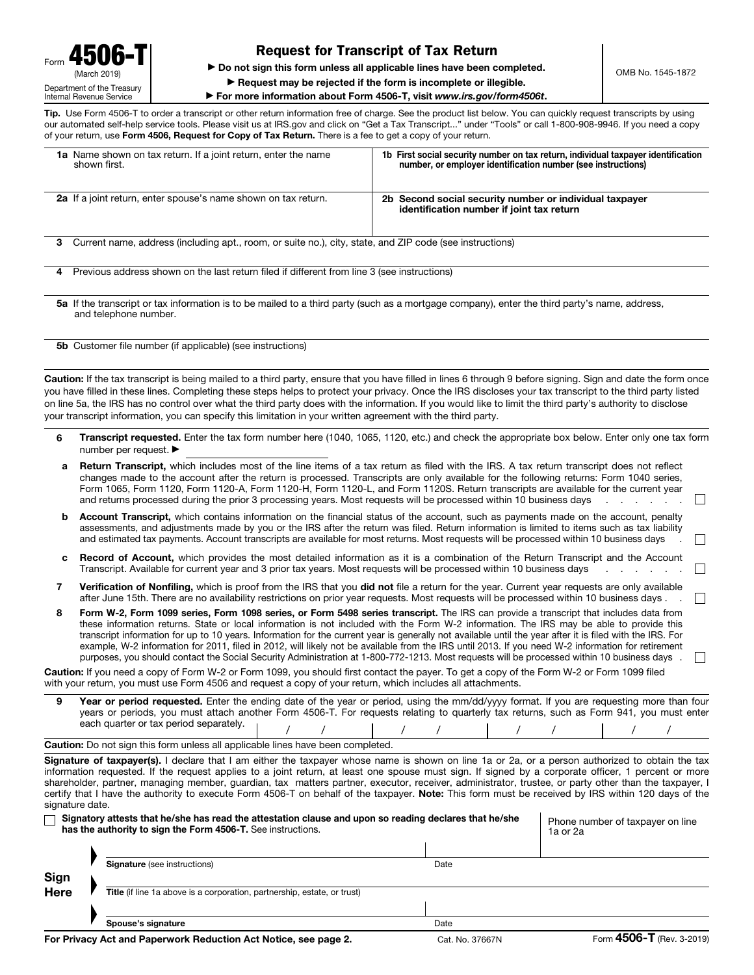## Request for Transcript of Tax Return

▶ Do not sign this form unless all applicable lines have been completed.

▶ Request may be rejected if the form is incomplete or illegible.

▶ For more information about Form 4506-T, visit *www.irs.gov/form4506t*.

Tip. Use Form 4506-T to order a transcript or other return information free of charge. See the product list below. You can quickly request transcripts by using our automated self-help service tools. Please visit us at IRS.gov and click on "Get a Tax Transcript..." under "Tools" or call 1-800-908-9946. If you need a copy of your return, use Form 4506, Request for Copy of Tax Return. There is a fee to get a copy of your return.

| 1a Name shown on tax return. If a joint return, enter the name<br>shown first.                                                                                         | 1b First social security number on tax return, individual taxpayer identification<br>number, or employer identification number (see instructions) |  |  |  |
|------------------------------------------------------------------------------------------------------------------------------------------------------------------------|---------------------------------------------------------------------------------------------------------------------------------------------------|--|--|--|
| <b>2a</b> If a joint return, enter spouse's name shown on tax return.                                                                                                  | Second social security number or individual taxpayer<br>2b.<br>identification number if joint tax return                                          |  |  |  |
| Current name, address (including apt., room, or suite no.), city, state, and ZIP code (see instructions)<br>3                                                          |                                                                                                                                                   |  |  |  |
| Previous address shown on the last return filed if different from line 3 (see instructions)<br>4                                                                       |                                                                                                                                                   |  |  |  |
| 5a If the transcript or tax information is to be mailed to a third party (such as a mortgage company), enter the third party's name, address,<br>and telephone number. |                                                                                                                                                   |  |  |  |
| <b>5b</b> Customer file number (if applicable) (see instructions)                                                                                                      |                                                                                                                                                   |  |  |  |

Caution: If the tax transcript is being mailed to a third party, ensure that you have filled in lines 6 through 9 before signing. Sign and date the form once you have filled in these lines. Completing these steps helps to protect your privacy. Once the IRS discloses your tax transcript to the third party listed on line 5a, the IRS has no control over what the third party does with the information. If you would like to limit the third party's authority to disclose your transcript information, you can specify this limitation in your written agreement with the third party.

- 6 Transcript requested. Enter the tax form number here (1040, 1065, 1120, etc.) and check the appropriate box below. Enter only one tax form number per request. ▶
- a Return Transcript, which includes most of the line items of a tax return as filed with the IRS. A tax return transcript does not reflect changes made to the account after the return is processed. Transcripts are only available for the following returns: Form 1040 series, Form 1065, Form 1120, Form 1120-A, Form 1120-H, Form 1120-L, and Form 1120S. Return transcripts are available for the current year and returns processed during the prior 3 processing years. Most requests will be processed within 10 business days  $\Box$
- **b** Account Transcript, which contains information on the financial status of the account, such as payments made on the account, penalty assessments, and adjustments made by you or the IRS after the return was filed. Return information is limited to items such as tax liability and estimated tax payments. Account transcripts are available for most returns. Most requests will be processed within 10 business days
- c Record of Account, which provides the most detailed information as it is a combination of the Return Transcript and the Account Transcript. Available for current year and 3 prior tax years. Most requests will be processed within 10 business days  $\mathbb{R}^n$
- 7 Verification of Nonfiling, which is proof from the IRS that you did not file a return for the year. Current year requests are only available after June 15th. There are no availability restrictions on prior year requests. Most requests will be processed within 10 business days.  $\mathbf{L}$
- 8 Form W-2, Form 1099 series, Form 1098 series, or Form 5498 series transcript. The IRS can provide a transcript that includes data from these information returns. State or local information is not included with the Form W-2 information. The IRS may be able to provide this transcript information for up to 10 years. Information for the current year is generally not available until the year after it is filed with the IRS. For example, W-2 information for 2011, filed in 2012, will likely not be available from the IRS until 2013. If you need W-2 information for retirement purposes, you should contact the Social Security Administration at 1-800-772-1213. Most requests will be processed within 10 business days .

Caution: If you need a copy of Form W-2 or Form 1099, you should first contact the payer. To get a copy of the Form W-2 or Form 1099 filed with your return, you must use Form 4506 and request a copy of your return, which includes all attachments.

9 Year or period requested. Enter the ending date of the year or period, using the mm/dd/yyyy format. If you are requesting more than four years or periods, you must attach another Form 4506-T. For requests relating to quarterly tax returns, such as Form 941, you must enter each quarter or tax period separately. / / / / / / / /

Caution: Do not sign this form unless all applicable lines have been completed.

Signature of taxpayer(s). I declare that I am either the taxpayer whose name is shown on line 1a or 2a, or a person authorized to obtain the tax information requested. If the request applies to a joint return, at least one spouse must sign. If signed by a corporate officer, 1 percent or more shareholder, partner, managing member, guardian, tax matters partner, executor, receiver, administrator, trustee, or party other than the taxpayer, I certify that I have the authority to execute Form 4506-T on behalf of the taxpayer. Note: This form must be received by IRS within 120 days of the signature date.

|             | Signatory attests that he/she has read the attestation clause and upon so reading declares that he/she<br>has the authority to sign the Form 4506-T. See instructions. |      | Phone number of taxpayer on line<br>1a or 2a |
|-------------|------------------------------------------------------------------------------------------------------------------------------------------------------------------------|------|----------------------------------------------|
|             |                                                                                                                                                                        |      |                                              |
|             | <b>Signature</b> (see instructions)                                                                                                                                    | Date |                                              |
| Sign        |                                                                                                                                                                        |      |                                              |
| <b>Here</b> | Title (if line 1a above is a corporation, partnership, estate, or trust)                                                                                               |      |                                              |
|             |                                                                                                                                                                        |      |                                              |
|             | Spouse's signature                                                                                                                                                     | Date |                                              |

 $\mathbb{R}^n$ 

OMB No. 1545-1872